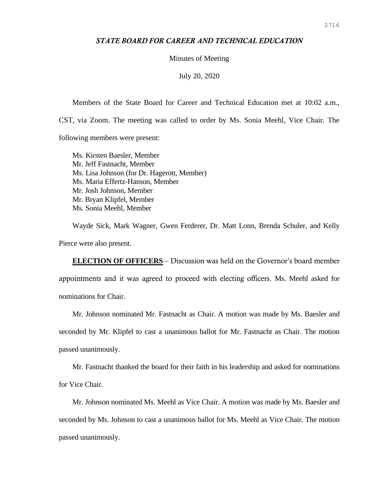## *STATE BOARD FOR CAREER AND TECHNICAL EDUCATION*

Minutes of Meeting

July 20, 2020

Members of the State Board for Career and Technical Education met at 10:02 a.m.,

CST, via Zoom. The meeting was called to order by Ms. Sonia Meehl, Vice Chair. The

following members were present:

Ms. Kirsten Baesler, Member Mr. Jeff Fastnacht, Member Ms. Lisa Johnson (for Dr. Hagerott, Member) Ms. Maria Effertz-Hanson, Member Mr. Josh Johnson, Member Mr. Bryan Klipfel, Member Ms. Sonia Meehl, Member

Wayde Sick, Mark Wagner, Gwen Ferderer, Dr. Matt Lonn, Brenda Schuler, and Kelly Pierce were also present.

**ELECTION OF OFFICERS** – Discussion was held on the Governor's board member appointments and it was agreed to proceed with electing officers. Ms. Meehl asked for nominations for Chair.

Mr. Johnson nominated Mr. Fastnacht as Chair. A motion was made by Ms. Baesler and

seconded by Mr. Klipfel to cast a unanimous ballot for Mr. Fastnacht as Chair. The motion passed unanimously.

Mr. Fastnacht thanked the board for their faith in his leadership and asked for nominations

for Vice Chair.

Mr. Johnson nominated Ms. Meehl as Vice Chair. A motion was made by Ms. Baesler and seconded by Ms. Johnson to cast a unanimous ballot for Ms. Meehl as Vice Chair. The motion passed unanimously.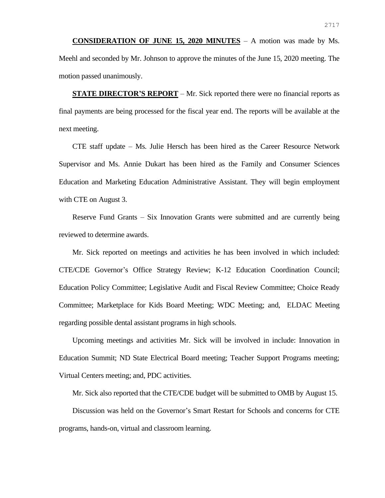**CONSIDERATION OF JUNE 15, 2020 MINUTES** – A motion was made by Ms. Meehl and seconded by Mr. Johnson to approve the minutes of the June 15, 2020 meeting. The motion passed unanimously.

**STATE DIRECTOR'S REPORT** – Mr. Sick reported there were no financial reports as final payments are being processed for the fiscal year end. The reports will be available at the next meeting.

CTE staff update – Ms. Julie Hersch has been hired as the Career Resource Network Supervisor and Ms. Annie Dukart has been hired as the Family and Consumer Sciences Education and Marketing Education Administrative Assistant. They will begin employment with CTE on August 3.

Reserve Fund Grants – Six Innovation Grants were submitted and are currently being reviewed to determine awards.

Mr. Sick reported on meetings and activities he has been involved in which included: CTE/CDE Governor's Office Strategy Review; K-12 Education Coordination Council; Education Policy Committee; Legislative Audit and Fiscal Review Committee; Choice Ready Committee; Marketplace for Kids Board Meeting; WDC Meeting; and, ELDAC Meeting regarding possible dental assistant programs in high schools.

Upcoming meetings and activities Mr. Sick will be involved in include: Innovation in Education Summit; ND State Electrical Board meeting; Teacher Support Programs meeting; Virtual Centers meeting; and, PDC activities.

Mr. Sick also reported that the CTE/CDE budget will be submitted to OMB by August 15.

Discussion was held on the Governor's Smart Restart for Schools and concerns for CTE programs, hands-on, virtual and classroom learning.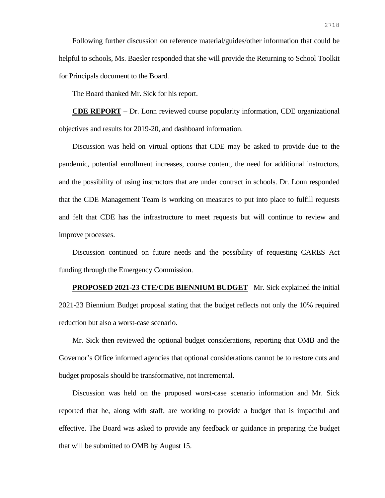Following further discussion on reference material/guides/other information that could be helpful to schools, Ms. Baesler responded that she will provide the Returning to School Toolkit for Principals document to the Board.

The Board thanked Mr. Sick for his report.

**CDE REPORT** – Dr. Lonn reviewed course popularity information, CDE organizational objectives and results for 2019-20, and dashboard information.

Discussion was held on virtual options that CDE may be asked to provide due to the pandemic, potential enrollment increases, course content, the need for additional instructors, and the possibility of using instructors that are under contract in schools. Dr. Lonn responded that the CDE Management Team is working on measures to put into place to fulfill requests and felt that CDE has the infrastructure to meet requests but will continue to review and improve processes.

Discussion continued on future needs and the possibility of requesting CARES Act funding through the Emergency Commission.

**PROPOSED 2021-23 CTE/CDE BIENNIUM BUDGET** –Mr. Sick explained the initial 2021-23 Biennium Budget proposal stating that the budget reflects not only the 10% required reduction but also a worst-case scenario.

Mr. Sick then reviewed the optional budget considerations, reporting that OMB and the Governor's Office informed agencies that optional considerations cannot be to restore cuts and budget proposals should be transformative, not incremental.

Discussion was held on the proposed worst-case scenario information and Mr. Sick reported that he, along with staff, are working to provide a budget that is impactful and effective. The Board was asked to provide any feedback or guidance in preparing the budget that will be submitted to OMB by August 15.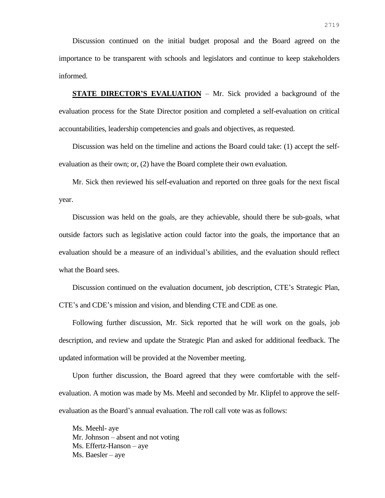Discussion continued on the initial budget proposal and the Board agreed on the importance to be transparent with schools and legislators and continue to keep stakeholders informed.

**STATE DIRECTOR'S EVALUATION** – Mr. Sick provided a background of the evaluation process for the State Director position and completed a self-evaluation on critical accountabilities, leadership competencies and goals and objectives, as requested.

Discussion was held on the timeline and actions the Board could take: (1) accept the selfevaluation as their own; or, (2) have the Board complete their own evaluation.

Mr. Sick then reviewed his self-evaluation and reported on three goals for the next fiscal year.

Discussion was held on the goals, are they achievable, should there be sub-goals, what outside factors such as legislative action could factor into the goals, the importance that an evaluation should be a measure of an individual's abilities, and the evaluation should reflect what the Board sees.

Discussion continued on the evaluation document, job description, CTE's Strategic Plan, CTE's and CDE's mission and vision, and blending CTE and CDE as one.

Following further discussion, Mr. Sick reported that he will work on the goals, job description, and review and update the Strategic Plan and asked for additional feedback. The updated information will be provided at the November meeting.

Upon further discussion, the Board agreed that they were comfortable with the selfevaluation. A motion was made by Ms. Meehl and seconded by Mr. Klipfel to approve the selfevaluation as the Board's annual evaluation. The roll call vote was as follows:

Ms. Meehl- aye Mr. Johnson – absent and not voting Ms. Effertz-Hanson – aye Ms. Baesler – aye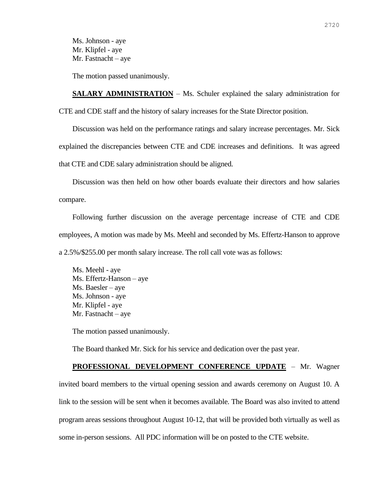Ms. Johnson - aye Mr. Klipfel - aye Mr. Fastnacht – aye

The motion passed unanimously.

**SALARY ADMINISTRATION** – Ms. Schuler explained the salary administration for CTE and CDE staff and the history of salary increases for the State Director position.

Discussion was held on the performance ratings and salary increase percentages. Mr. Sick explained the discrepancies between CTE and CDE increases and definitions. It was agreed that CTE and CDE salary administration should be aligned.

Discussion was then held on how other boards evaluate their directors and how salaries compare.

Following further discussion on the average percentage increase of CTE and CDE employees, A motion was made by Ms. Meehl and seconded by Ms. Effertz-Hanson to approve a 2.5%/\$255.00 per month salary increase. The roll call vote was as follows:

Ms. Meehl - aye Ms. Effertz-Hanson – aye Ms. Baesler – aye Ms. Johnson - aye Mr. Klipfel - aye Mr. Fastnacht – aye

The motion passed unanimously.

The Board thanked Mr. Sick for his service and dedication over the past year.

## **PROFESSIONAL DEVELOPMENT CONFERENCE UPDATE** – Mr. Wagner invited board members to the virtual opening session and awards ceremony on August 10. A link to the session will be sent when it becomes available. The Board was also invited to attend program areas sessions throughout August 10-12, that will be provided both virtually as well as some in-person sessions. All PDC information will be on posted to the CTE website.